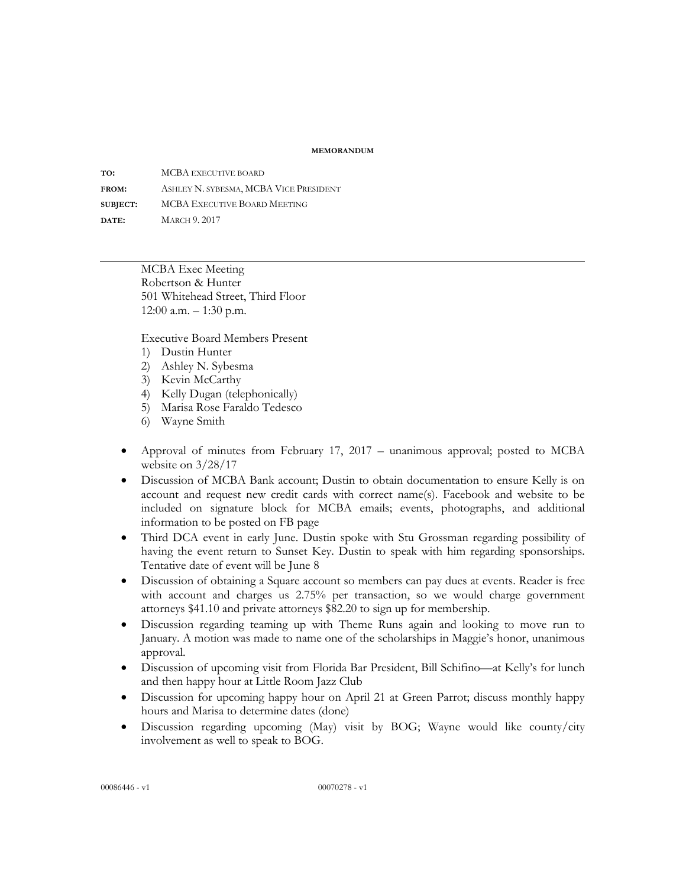## **MEMORANDUM**

**TO:** MCBA EXECUTIVE BOARD **FROM:** ASHLEY N. SYBESMA, MCBA VICE PRESIDENT **SUBJECT:** MCBA EXECUTIVE BOARD MEETING **DATE:** MARCH 9. 2017

> MCBA Exec Meeting Robertson & Hunter 501 Whitehead Street, Third Floor 12:00 a.m. – 1:30 p.m.

Executive Board Members Present

- 1) Dustin Hunter
- 2) Ashley N. Sybesma
- 3) Kevin McCarthy
- 4) Kelly Dugan (telephonically)
- 5) Marisa Rose Faraldo Tedesco
- 6) Wayne Smith
- Approval of minutes from February 17, 2017 unanimous approval; posted to MCBA website on 3/28/17
- Discussion of MCBA Bank account; Dustin to obtain documentation to ensure Kelly is on account and request new credit cards with correct name(s). Facebook and website to be included on signature block for MCBA emails; events, photographs, and additional information to be posted on FB page
- Third DCA event in early June. Dustin spoke with Stu Grossman regarding possibility of having the event return to Sunset Key. Dustin to speak with him regarding sponsorships. Tentative date of event will be June 8
- Discussion of obtaining a Square account so members can pay dues at events. Reader is free with account and charges us 2.75% per transaction, so we would charge government attorneys \$41.10 and private attorneys \$82.20 to sign up for membership.
- Discussion regarding teaming up with Theme Runs again and looking to move run to January. A motion was made to name one of the scholarships in Maggie's honor, unanimous approval.
- Discussion of upcoming visit from Florida Bar President, Bill Schifino—at Kelly's for lunch and then happy hour at Little Room Jazz Club
- Discussion for upcoming happy hour on April 21 at Green Parrot; discuss monthly happy hours and Marisa to determine dates (done)
- Discussion regarding upcoming (May) visit by BOG; Wayne would like county/city involvement as well to speak to BOG.